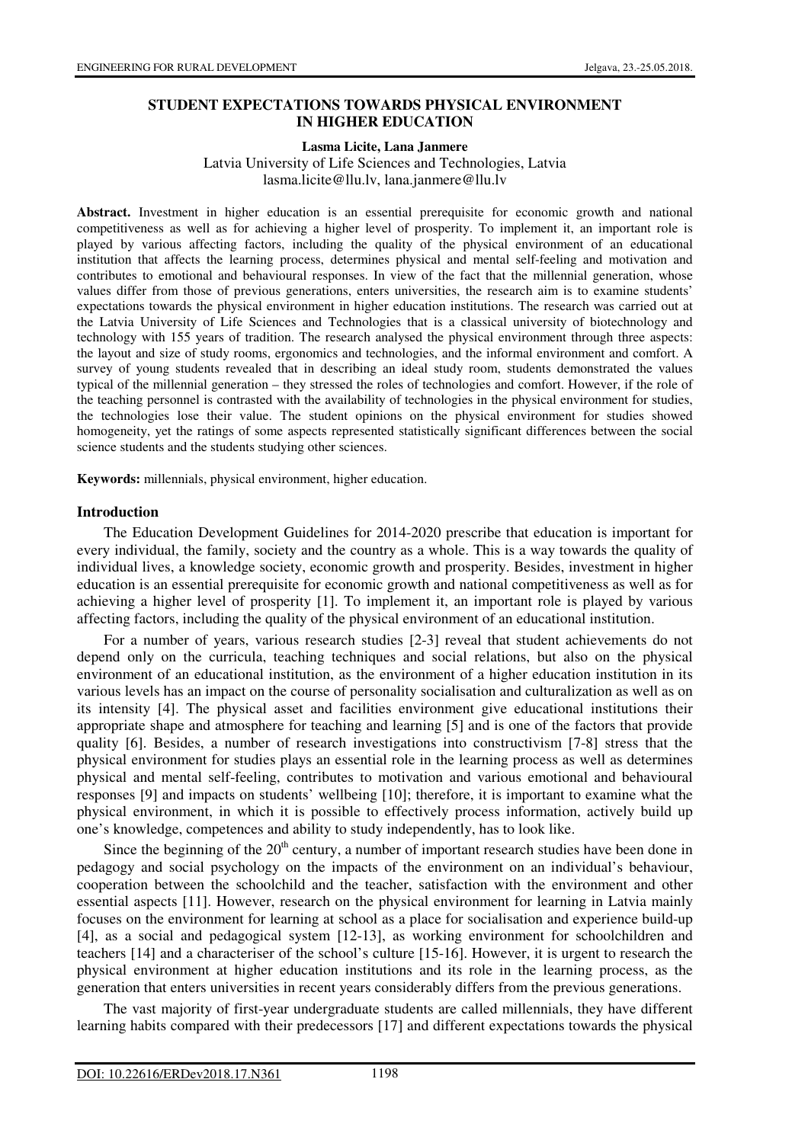## **STUDENT EXPECTATIONS TOWARDS PHYSICAL ENVIRONMENT IN HIGHER EDUCATION**

#### **Lasma Licite, Lana Janmere**

Latvia University of Life Sciences and Technologies, Latvia lasma.licite@llu.lv, lana.janmere@llu.lv

**Abstract.** Investment in higher education is an essential prerequisite for economic growth and national competitiveness as well as for achieving a higher level of prosperity. To implement it, an important role is played by various affecting factors, including the quality of the physical environment of an educational institution that affects the learning process, determines physical and mental self-feeling and motivation and contributes to emotional and behavioural responses. In view of the fact that the millennial generation, whose values differ from those of previous generations, enters universities, the research aim is to examine students' expectations towards the physical environment in higher education institutions. The research was carried out at the Latvia University of Life Sciences and Technologies that is a classical university of biotechnology and technology with 155 years of tradition. The research analysed the physical environment through three aspects: the layout and size of study rooms, ergonomics and technologies, and the informal environment and comfort. A survey of young students revealed that in describing an ideal study room, students demonstrated the values typical of the millennial generation – they stressed the roles of technologies and comfort. However, if the role of the teaching personnel is contrasted with the availability of technologies in the physical environment for studies, the technologies lose their value. The student opinions on the physical environment for studies showed homogeneity, yet the ratings of some aspects represented statistically significant differences between the social science students and the students studying other sciences.

**Keywords:** millennials, physical environment, higher education.

#### **Introduction**

The Education Development Guidelines for 2014-2020 prescribe that education is important for every individual, the family, society and the country as a whole. This is a way towards the quality of individual lives, a knowledge society, economic growth and prosperity. Besides, investment in higher education is an essential prerequisite for economic growth and national competitiveness as well as for achieving a higher level of prosperity [1]. To implement it, an important role is played by various affecting factors, including the quality of the physical environment of an educational institution.

For a number of years, various research studies [2-3] reveal that student achievements do not depend only on the curricula, teaching techniques and social relations, but also on the physical environment of an educational institution, as the environment of a higher education institution in its various levels has an impact on the course of personality socialisation and culturalization as well as on its intensity [4]. The physical asset and facilities environment give educational institutions their appropriate shape and atmosphere for teaching and learning [5] and is one of the factors that provide quality [6]. Besides, a number of research investigations into constructivism [7-8] stress that the physical environment for studies plays an essential role in the learning process as well as determines physical and mental self-feeling, contributes to motivation and various emotional and behavioural responses [9] and impacts on students' wellbeing [10]; therefore, it is important to examine what the physical environment, in which it is possible to effectively process information, actively build up one's knowledge, competences and ability to study independently, has to look like.

Since the beginning of the  $20<sup>th</sup>$  century, a number of important research studies have been done in pedagogy and social psychology on the impacts of the environment on an individual's behaviour, cooperation between the schoolchild and the teacher, satisfaction with the environment and other essential aspects [11]. However, research on the physical environment for learning in Latvia mainly focuses on the environment for learning at school as a place for socialisation and experience build-up [4], as a social and pedagogical system [12-13], as working environment for schoolchildren and teachers [14] and a characteriser of the school's culture [15-16]. However, it is urgent to research the physical environment at higher education institutions and its role in the learning process, as the generation that enters universities in recent years considerably differs from the previous generations.

The vast majority of first-year undergraduate students are called millennials, they have different learning habits compared with their predecessors [17] and different expectations towards the physical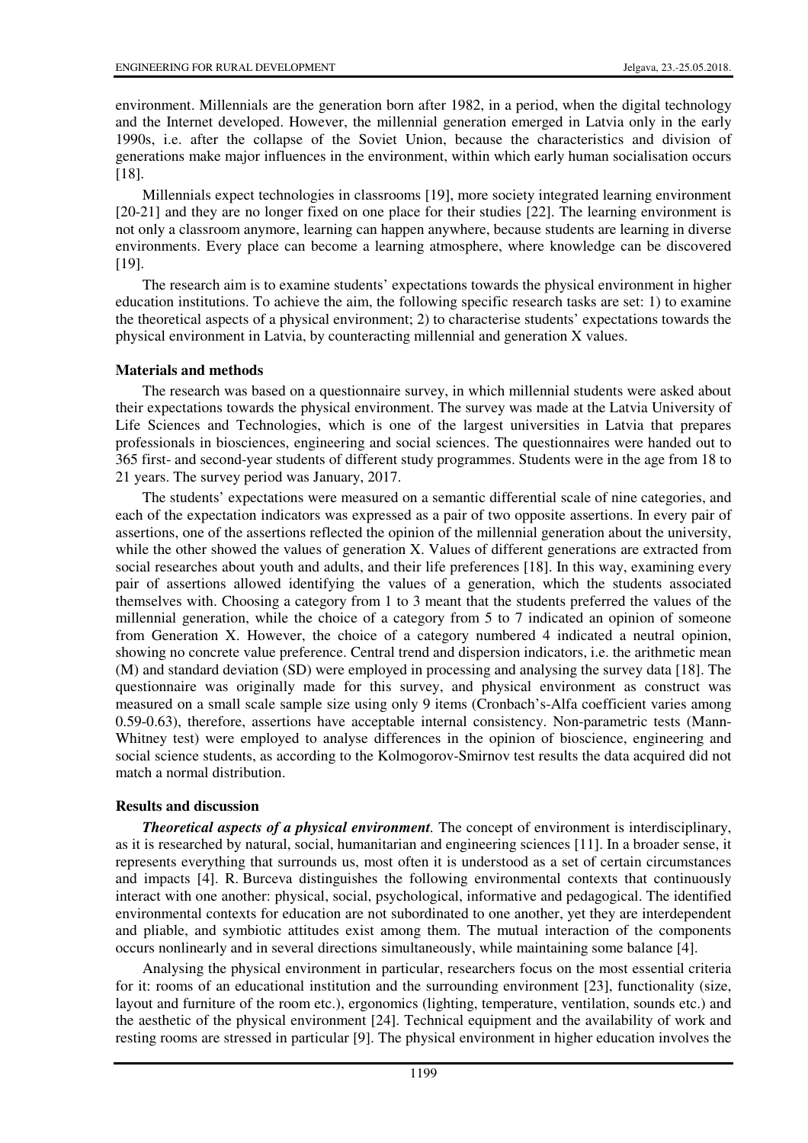environment. Millennials are the generation born after 1982, in a period, when the digital technology and the Internet developed. However, the millennial generation emerged in Latvia only in the early 1990s, i.e. after the collapse of the Soviet Union, because the characteristics and division of generations make major influences in the environment, within which early human socialisation occurs [18].

Millennials expect technologies in classrooms [19], more society integrated learning environment [20-21] and they are no longer fixed on one place for their studies [22]. The learning environment is not only a classroom anymore, learning can happen anywhere, because students are learning in diverse environments. Every place can become a learning atmosphere, where knowledge can be discovered [19].

The research aim is to examine students' expectations towards the physical environment in higher education institutions. To achieve the aim, the following specific research tasks are set: 1) to examine the theoretical aspects of a physical environment; 2) to characterise students' expectations towards the physical environment in Latvia, by counteracting millennial and generation X values.

### **Materials and methods**

The research was based on a questionnaire survey, in which millennial students were asked about their expectations towards the physical environment. The survey was made at the Latvia University of Life Sciences and Technologies, which is one of the largest universities in Latvia that prepares professionals in biosciences, engineering and social sciences. The questionnaires were handed out to 365 first- and second-year students of different study programmes. Students were in the age from 18 to 21 years. The survey period was January, 2017.

The students' expectations were measured on a semantic differential scale of nine categories, and each of the expectation indicators was expressed as a pair of two opposite assertions. In every pair of assertions, one of the assertions reflected the opinion of the millennial generation about the university, while the other showed the values of generation X. Values of different generations are extracted from social researches about youth and adults, and their life preferences [18]. In this way, examining every pair of assertions allowed identifying the values of a generation, which the students associated themselves with. Choosing a category from 1 to 3 meant that the students preferred the values of the millennial generation, while the choice of a category from 5 to 7 indicated an opinion of someone from Generation X. However, the choice of a category numbered 4 indicated a neutral opinion, showing no concrete value preference. Central trend and dispersion indicators, i.e. the arithmetic mean (M) and standard deviation (SD) were employed in processing and analysing the survey data [18]. The questionnaire was originally made for this survey, and physical environment as construct was measured on a small scale sample size using only 9 items (Cronbach's-Alfa coefficient varies among 0.59-0.63), therefore, assertions have acceptable internal consistency. Non-parametric tests (Mann-Whitney test) were employed to analyse differences in the opinion of bioscience, engineering and social science students, as according to the Kolmogorov-Smirnov test results the data acquired did not match a normal distribution.

### **Results and discussion**

*Theoretical aspects of a physical environment.* The concept of environment is interdisciplinary, as it is researched by natural, social, humanitarian and engineering sciences [11]. In a broader sense, it represents everything that surrounds us, most often it is understood as a set of certain circumstances and impacts [4]. R. Burceva distinguishes the following environmental contexts that continuously interact with one another: physical, social, psychological, informative and pedagogical. The identified environmental contexts for education are not subordinated to one another, yet they are interdependent and pliable, and symbiotic attitudes exist among them. The mutual interaction of the components occurs nonlinearly and in several directions simultaneously, while maintaining some balance [4].

Analysing the physical environment in particular, researchers focus on the most essential criteria for it: rooms of an educational institution and the surrounding environment [23], functionality (size, layout and furniture of the room etc.), ergonomics (lighting, temperature, ventilation, sounds etc.) and the aesthetic of the physical environment [24]. Technical equipment and the availability of work and resting rooms are stressed in particular [9]. The physical environment in higher education involves the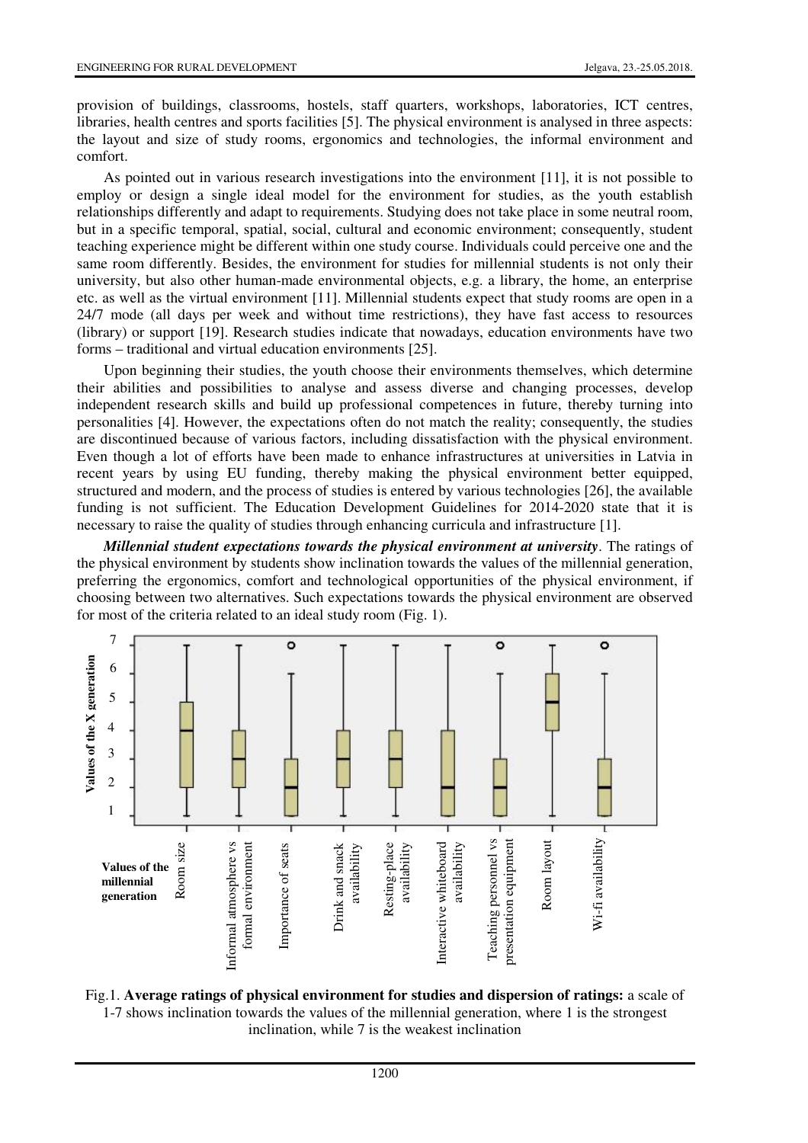provision of buildings, classrooms, hostels, staff quarters, workshops, laboratories, ICT centres, libraries, health centres and sports facilities [5]. The physical environment is analysed in three aspects: the layout and size of study rooms, ergonomics and technologies, the informal environment and comfort.

As pointed out in various research investigations into the environment [11], it is not possible to employ or design a single ideal model for the environment for studies, as the youth establish relationships differently and adapt to requirements. Studying does not take place in some neutral room, but in a specific temporal, spatial, social, cultural and economic environment; consequently, student teaching experience might be different within one study course. Individuals could perceive one and the same room differently. Besides, the environment for studies for millennial students is not only their university, but also other human-made environmental objects, e.g. a library, the home, an enterprise etc. as well as the virtual environment [11]. Millennial students expect that study rooms are open in a 24/7 mode (all days per week and without time restrictions), they have fast access to resources (library) or support [19]. Research studies indicate that nowadays, education environments have two forms – traditional and virtual education environments [25].

Upon beginning their studies, the youth choose their environments themselves, which determine their abilities and possibilities to analyse and assess diverse and changing processes, develop independent research skills and build up professional competences in future, thereby turning into personalities [4]. However, the expectations often do not match the reality; consequently, the studies are discontinued because of various factors, including dissatisfaction with the physical environment. Even though a lot of efforts have been made to enhance infrastructures at universities in Latvia in recent years by using EU funding, thereby making the physical environment better equipped, structured and modern, and the process of studies is entered by various technologies [26], the available funding is not sufficient. The Education Development Guidelines for 2014-2020 state that it is necessary to raise the quality of studies through enhancing curricula and infrastructure [1].

*Millennial student expectations towards the physical environment at university*. The ratings of the physical environment by students show inclination towards the values of the millennial generation, preferring the ergonomics, comfort and technological opportunities of the physical environment, if choosing between two alternatives. Such expectations towards the physical environment are observed for most of the criteria related to an ideal study room (Fig. 1).



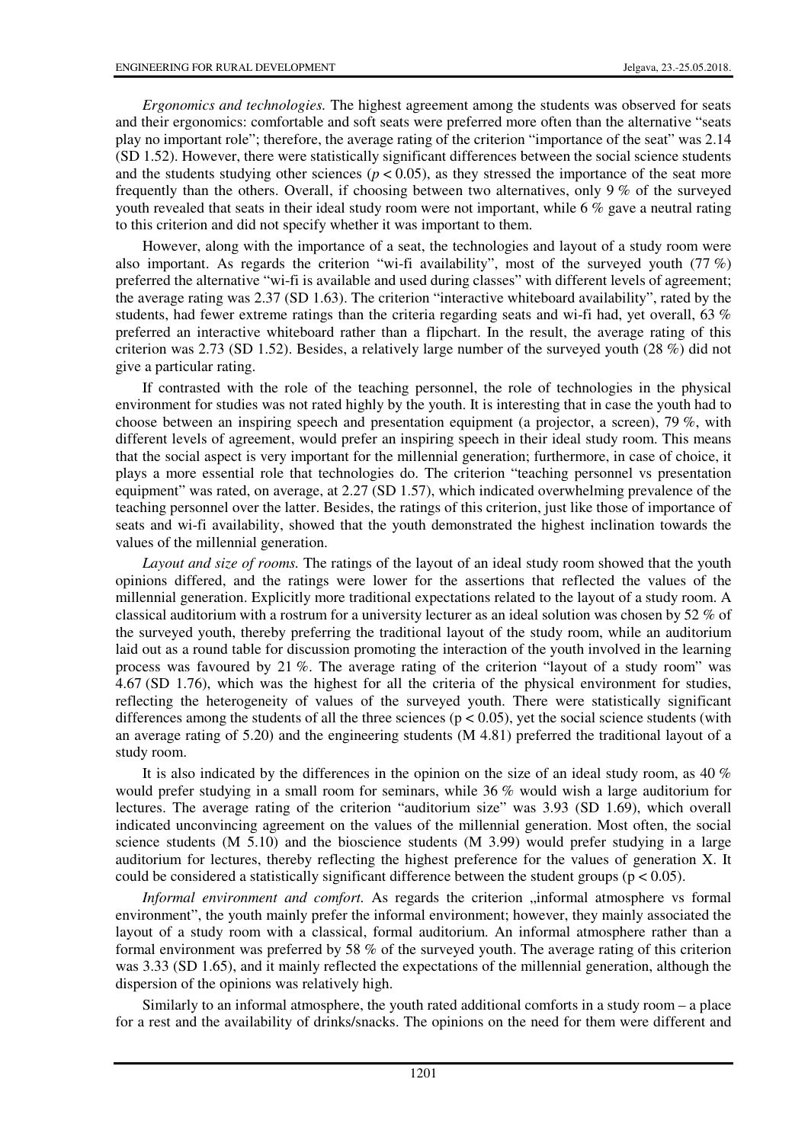*Ergonomics and technologies.* The highest agreement among the students was observed for seats and their ergonomics: comfortable and soft seats were preferred more often than the alternative "seats play no important role"; therefore, the average rating of the criterion "importance of the seat" was 2.14 (SD 1.52). However, there were statistically significant differences between the social science students and the students studying other sciences ( $p < 0.05$ ), as they stressed the importance of the seat more frequently than the others. Overall, if choosing between two alternatives, only 9 % of the surveyed youth revealed that seats in their ideal study room were not important, while 6 % gave a neutral rating to this criterion and did not specify whether it was important to them.

However, along with the importance of a seat, the technologies and layout of a study room were also important. As regards the criterion "wi-fi availability", most of the surveyed youth (77 %) preferred the alternative "wi-fi is available and used during classes" with different levels of agreement; the average rating was 2.37 (SD 1.63). The criterion "interactive whiteboard availability", rated by the students, had fewer extreme ratings than the criteria regarding seats and wi-fi had, yet overall, 63 % preferred an interactive whiteboard rather than a flipchart. In the result, the average rating of this criterion was 2.73 (SD 1.52). Besides, a relatively large number of the surveyed youth (28 %) did not give a particular rating.

If contrasted with the role of the teaching personnel, the role of technologies in the physical environment for studies was not rated highly by the youth. It is interesting that in case the youth had to choose between an inspiring speech and presentation equipment (a projector, a screen), 79 %, with different levels of agreement, would prefer an inspiring speech in their ideal study room. This means that the social aspect is very important for the millennial generation; furthermore, in case of choice, it plays a more essential role that technologies do. The criterion "teaching personnel vs presentation equipment" was rated, on average, at 2.27 (SD 1.57), which indicated overwhelming prevalence of the teaching personnel over the latter. Besides, the ratings of this criterion, just like those of importance of seats and wi-fi availability, showed that the youth demonstrated the highest inclination towards the values of the millennial generation.

*Layout and size of rooms.* The ratings of the layout of an ideal study room showed that the youth opinions differed, and the ratings were lower for the assertions that reflected the values of the millennial generation. Explicitly more traditional expectations related to the layout of a study room. A classical auditorium with a rostrum for a university lecturer as an ideal solution was chosen by 52 % of the surveyed youth, thereby preferring the traditional layout of the study room, while an auditorium laid out as a round table for discussion promoting the interaction of the youth involved in the learning process was favoured by 21 %. The average rating of the criterion "layout of a study room" was 4.67 (SD 1.76), which was the highest for all the criteria of the physical environment for studies, reflecting the heterogeneity of values of the surveyed youth. There were statistically significant differences among the students of all the three sciences  $(p < 0.05)$ , yet the social science students (with an average rating of 5.20) and the engineering students (M 4.81) preferred the traditional layout of a study room.

It is also indicated by the differences in the opinion on the size of an ideal study room, as 40 % would prefer studying in a small room for seminars, while 36 % would wish a large auditorium for lectures. The average rating of the criterion "auditorium size" was 3.93 (SD 1.69), which overall indicated unconvincing agreement on the values of the millennial generation. Most often, the social science students (M 5.10) and the bioscience students (M 3.99) would prefer studying in a large auditorium for lectures, thereby reflecting the highest preference for the values of generation X. It could be considered a statistically significant difference between the student groups ( $p < 0.05$ ).

*Informal environment and comfort.* As regards the criterion "informal atmosphere vs formal environment", the youth mainly prefer the informal environment; however, they mainly associated the layout of a study room with a classical, formal auditorium. An informal atmosphere rather than a formal environment was preferred by 58 % of the surveyed youth. The average rating of this criterion was 3.33 (SD 1.65), and it mainly reflected the expectations of the millennial generation, although the dispersion of the opinions was relatively high.

Similarly to an informal atmosphere, the youth rated additional comforts in a study room – a place for a rest and the availability of drinks/snacks. The opinions on the need for them were different and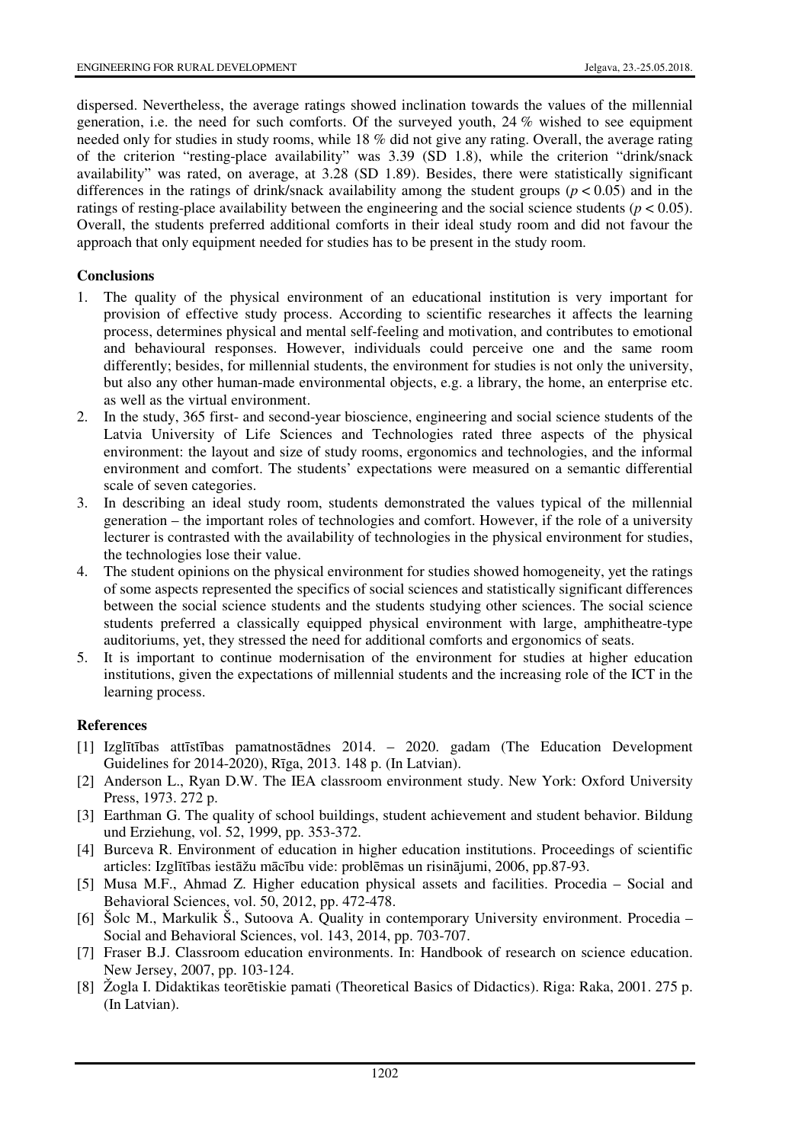dispersed. Nevertheless, the average ratings showed inclination towards the values of the millennial generation, i.e. the need for such comforts. Of the surveyed youth, 24 % wished to see equipment needed only for studies in study rooms, while 18 % did not give any rating. Overall, the average rating of the criterion "resting-place availability" was 3.39 (SD 1.8), while the criterion "drink/snack availability" was rated, on average, at 3.28 (SD 1.89). Besides, there were statistically significant differences in the ratings of drink/snack availability among the student groups ( $p < 0.05$ ) and in the ratings of resting-place availability between the engineering and the social science students ( $p < 0.05$ ). Overall, the students preferred additional comforts in their ideal study room and did not favour the approach that only equipment needed for studies has to be present in the study room.

# **Conclusions**

- 1. The quality of the physical environment of an educational institution is very important for provision of effective study process. According to scientific researches it affects the learning process, determines physical and mental self-feeling and motivation, and contributes to emotional and behavioural responses. However, individuals could perceive one and the same room differently; besides, for millennial students, the environment for studies is not only the university, but also any other human-made environmental objects, e.g. a library, the home, an enterprise etc. as well as the virtual environment.
- 2. In the study, 365 first- and second-year bioscience, engineering and social science students of the Latvia University of Life Sciences and Technologies rated three aspects of the physical environment: the layout and size of study rooms, ergonomics and technologies, and the informal environment and comfort. The students' expectations were measured on a semantic differential scale of seven categories.
- 3. In describing an ideal study room, students demonstrated the values typical of the millennial generation – the important roles of technologies and comfort. However, if the role of a university lecturer is contrasted with the availability of technologies in the physical environment for studies, the technologies lose their value.
- 4. The student opinions on the physical environment for studies showed homogeneity, yet the ratings of some aspects represented the specifics of social sciences and statistically significant differences between the social science students and the students studying other sciences. The social science students preferred a classically equipped physical environment with large, amphitheatre-type auditoriums, yet, they stressed the need for additional comforts and ergonomics of seats.
- 5. It is important to continue modernisation of the environment for studies at higher education institutions, given the expectations of millennial students and the increasing role of the ICT in the learning process.

### **References**

- [1] Izglītības attīstības pamatnostādnes 2014. 2020. gadam (The Education Development Guidelines for 2014-2020), Rīga, 2013. 148 p. (In Latvian).
- [2] Anderson L., Ryan D.W. The IEA classroom environment study. New York: Oxford University Press, 1973. 272 p.
- [3] Earthman G. The quality of school buildings, student achievement and student behavior. Bildung und Erziehung, vol. 52, 1999, pp. 353-372.
- [4] Burceva R. Environment of education in higher education institutions. Proceedings of scientific articles: Izglītības iestāžu mācību vide: problēmas un risinājumi, 2006, pp.87-93.
- [5] Musa M.F., Ahmad Z. Higher education physical assets and facilities. Procedia Social and Behavioral Sciences, vol. 50, 2012, pp. 472-478.
- [6] Šolc M., Markulik Š., Sutoova A. Quality in contemporary University environment. Procedia Social and Behavioral Sciences, vol. 143, 2014, pp. 703-707.
- [7] Fraser B.J. Classroom education environments. In: Handbook of research on science education. New Jersey, 2007, pp. 103-124.
- [8] Žogla I. Didaktikas teorētiskie pamati (Theoretical Basics of Didactics). Riga: Raka, 2001. 275 p. (In Latvian).